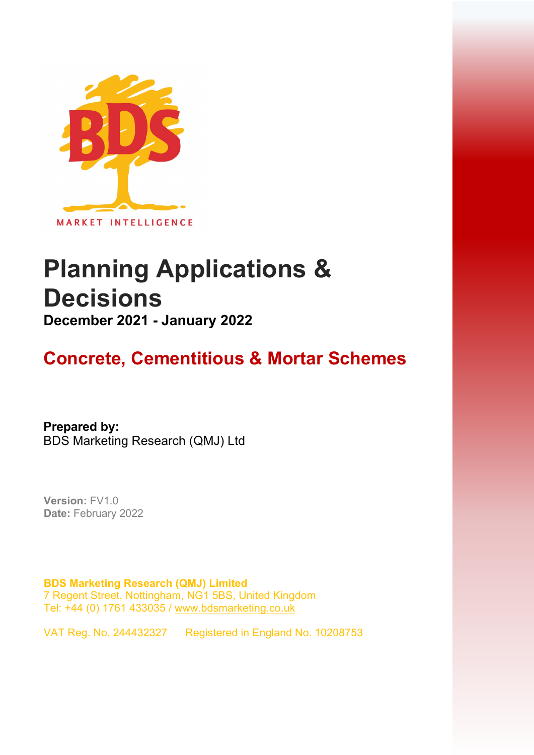

# **Planning Applications & Decisions**

**December 2021 - January 2022** 

# **Concrete, Cementitious & Mortar Schemes**

**Prepared by:**  BDS Marketing Research (QMJ) Ltd

**Version:** FV1.0 **Date:** February 2022

**BDS Marketing Research (QMJ) Limited**  7 Regent Street, Nottingham, NG1 5BS, United Kingdom Tel: +44 (0) 1761 433035 [/ www.bdsmarketing.co.uk](http://www.bdsmarketing.co.uk/)

VAT Reg. No. 244432327 Registered in England No. 10208753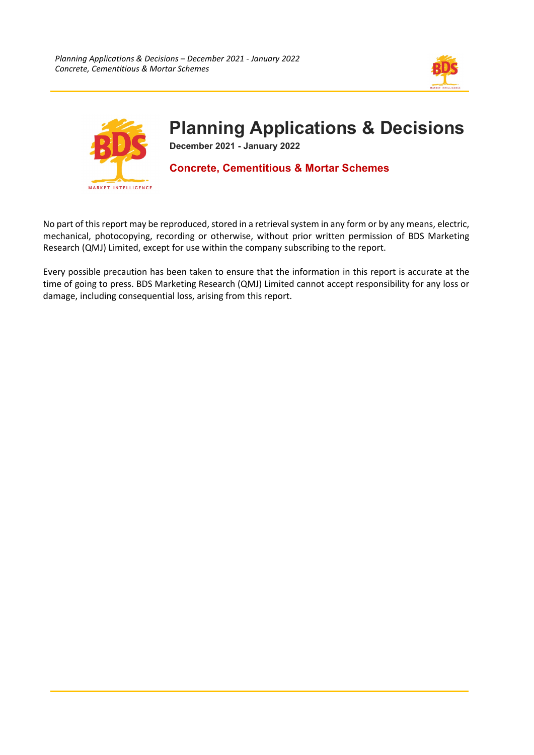



# **Planning Applications & Decisions**

**December 2021 - January 2022** 

## **Concrete, Cementitious & Mortar Schemes**

No part of this report may be reproduced, stored in a retrieval system in any form or by any means, electric, mechanical, photocopying, recording or otherwise, without prior written permission of BDS Marketing Research (QMJ) Limited, except for use within the company subscribing to the report.

Every possible precaution has been taken to ensure that the information in this report is accurate at the time of going to press. BDS Marketing Research (QMJ) Limited cannot accept responsibility for any loss or damage, including consequential loss, arising from this report.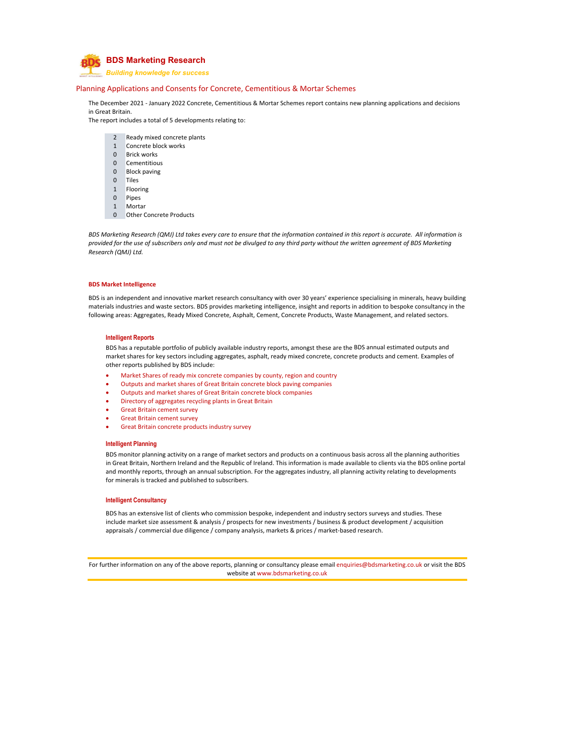

*Building knowledge for success*

#### Planning Applications and Consents for Concrete, Cementitious & Mortar Schemes

The December 2021 ‐ January 2022 Concrete, Cementitious & Mortar Schemes report contains new planning applications and decisions in Great Britain.

The report includes a total of 5 developments relating to:

- 2 Ready mixed concrete plants
- 1 Concrete block works
- 0 Brick works
- 0 Cementitious
- 0 Block paving
- 0 Tiles
- 1 Flooring
- 0 Pipes
- 1 Mortar
- 0 Other Concrete Products

BDS Marketing Research (QMJ) Ltd takes every care to ensure that the information contained in this report is accurate. All information is provided for the use of subscribers only and must not be divulged to any third party without the written agreement of BDS Marketing *Research (QMJ) Ltd.*

#### **BDS Market Intelligence**

BDS is an independent and innovative market research consultancy with over 30 years' experience specialising in minerals, heavy building materials industries and waste sectors. BDS provides marketing intelligence, insight and reports in addition to bespoke consultancy in the following areas: Aggregates, Ready Mixed Concrete, Asphalt, Cement, Concrete Products, Waste Management, and related sectors.

#### **Intelligent Reports**

BDS has a reputable portfolio of publicly available industry reports, amongst these are the BDS annual estimated outputs and market shares for key sectors including aggregates, asphalt, ready mixed concrete, concrete products and cement. Examples of other reports published by BDS include:

- Market Shares of ready mix concrete companies by county, region and country
- Outputs and market shares of Great Britain concrete block paving companies
- Outputs and market shares of Great Britain concrete block companies
- Directory of aggregates recycling plants in Great Britain
- Great Britain cement survey
- Great Britain cement survey
- Great Britain concrete products industry survey

#### **Intelligent Planning**

BDS monitor planning activity on a range of market sectors and products on a continuous basis across all the planning authorities in Great Britain, Northern Ireland and the Republic of Ireland. This information is made available to clients via the BDS online portal and monthly reports, through an annual subscription. For the aggregates industry, all planning activity relating to developments for minerals is tracked and published to subscribers.

#### **Intelligent Consultancy**

BDS has an extensive list of clients who commission bespoke, independent and industry sectors surveys and studies. These include market size assessment & analysis / prospects for new investments / business & product development / acquisition appraisals / commercial due diligence / company analysis, markets & prices / market-based research.

For further information on any of the above reports, planning or consultancy please email enquiries@bdsmarketing.co.uk or visit the BDS website at www.bdsmarketing.co.uk